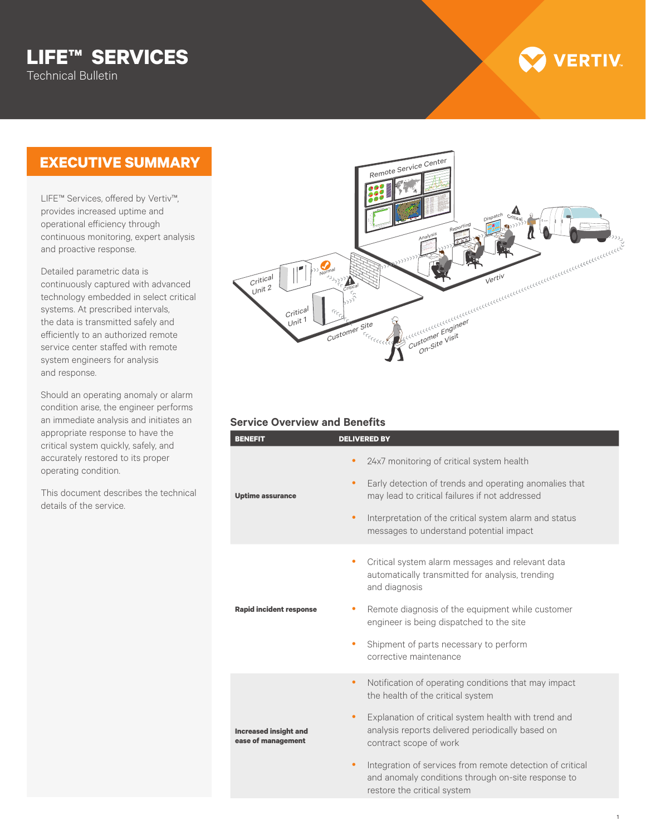# **LIFE™ SERVICES** Technical Bulletin

## **EXECUTIVE SUMMARY**

LIFE™ Services, offered by Vertiv™, provides increased uptime and operational efficiency through continuous monitoring, expert analysis and proactive response.

Detailed parametric data is continuously captured with advanced technology embedded in select critical systems. At prescribed intervals, the data is transmitted safely and efficiently to an authorized remote service center staffed with remote system engineers for analysis and response.

Should an operating anomaly or alarm condition arise, the engineer performs an immediate analysis and initiates an appropriate response to have the critical system quickly, safely, and accurately restored to its proper operating condition.

This document describes the technical details of the service.

# Critical Unit 1  $\widehat{C}$ ritical Unit 2 Vertiv Customer Engineer<br>Customer Engineer Customer Engineer Remote Service Center Customer Site Critical Normal Analysis Reporting Dispatch

#### **Service Overview and Benefits**

| <b>BENEFIT</b>                                     | <b>DELIVERED BY</b>                                                                                                                                 |
|----------------------------------------------------|-----------------------------------------------------------------------------------------------------------------------------------------------------|
| <b>Uptime assurance</b>                            | 24x7 monitoring of critical system health                                                                                                           |
|                                                    | Early detection of trends and operating anomalies that<br>$\bullet$<br>may lead to critical failures if not addressed                               |
|                                                    | Interpretation of the critical system alarm and status<br>$\bullet$<br>messages to understand potential impact                                      |
| <b>Rapid incident response</b>                     | Critical system alarm messages and relevant data<br>۰<br>automatically transmitted for analysis, trending<br>and diagnosis                          |
|                                                    | Remote diagnosis of the equipment while customer<br>engineer is being dispatched to the site                                                        |
|                                                    | Shipment of parts necessary to perform<br>۰<br>corrective maintenance                                                                               |
|                                                    | Notification of operating conditions that may impact<br>$\bullet$<br>the health of the critical system                                              |
| <b>Increased insight and</b><br>ease of management | Explanation of critical system health with trend and<br>$\bullet$<br>analysis reports delivered periodically based on<br>contract scope of work     |
|                                                    | Integration of services from remote detection of critical<br>٠<br>and anomaly conditions through on-site response to<br>restore the critical system |

**VERTIV**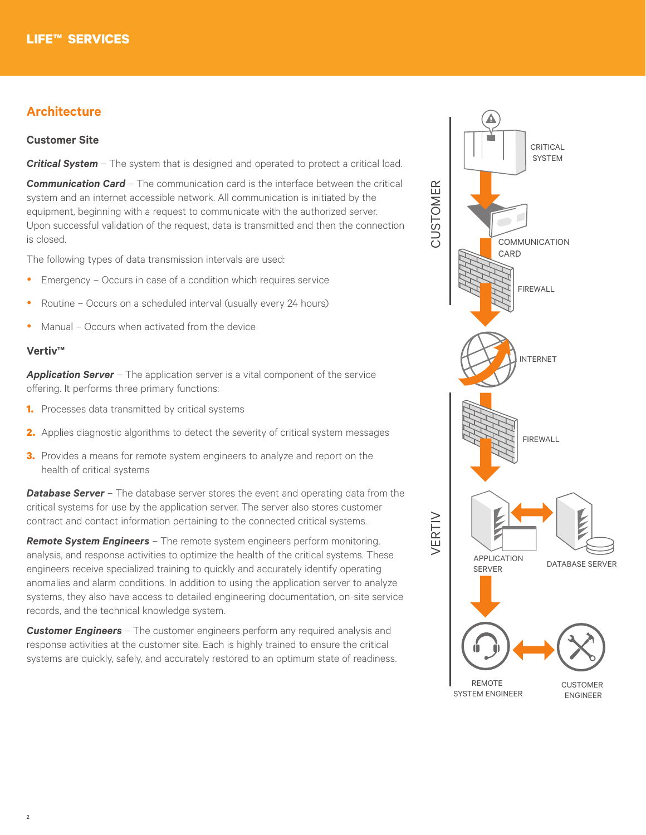## **Architecture**

#### **Customer Site**

*Critical System* – The system that is designed and operated to protect a critical load.

**Communication Card** – The communication card is the interface between the critical system and an internet accessible network. All communication is initiated by the equipment, beginning with a request to communicate with the authorized server. Upon successful validation of the request, data is transmitted and then the connection is closed.

The following types of data transmission intervals are used:

- $\bullet$  Emergency Occurs in case of a condition which requires service
- Routine Occurs on a scheduled interval (usually every 24 hours)
- Manual Occurs when activated from the device

#### **Vertiv™**

**Application Server** – The application server is a vital component of the service offering. It performs three primary functions:

- **1.** Processes data transmitted by critical systems
- **2.** Applies diagnostic algorithms to detect the severity of critical system messages
- **3.** Provides a means for remote system engineers to analyze and report on the health of critical systems

**Database Server** – The database server stores the event and operating data from the critical systems for use by the application server. The server also stores customer contract and contact information pertaining to the connected critical systems.

*Remote System Engineers* – The remote system engineers perform monitoring, analysis, and response activities to optimize the health of the critical systems. These engineers receive specialized training to quickly and accurately identify operating anomalies and alarm conditions. In addition to using the application server to analyze systems, they also have access to detailed engineering documentation, on-site service records, and the technical knowledge system.

*Customer Engineers* – The customer engineers perform any required analysis and response activities at the customer site. Each is highly trained to ensure the critical systems are quickly, safely, and accurately restored to an optimum state of readiness.

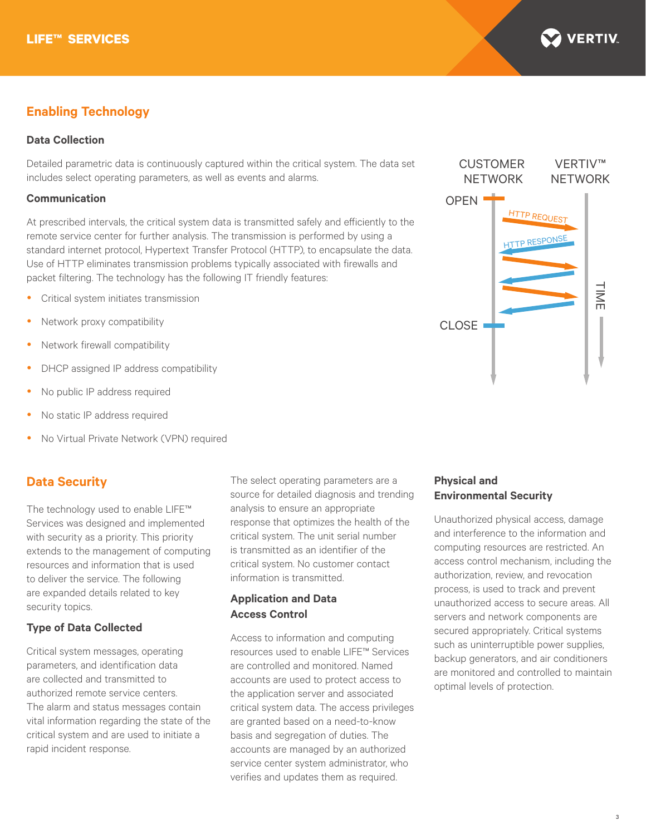

## **Enabling Technology**

#### **Data Collection**

Detailed parametric data is continuously captured within the critical system. The data set includes select operating parameters, as well as events and alarms.

#### **Communication**

At prescribed intervals, the critical system data is transmitted safely and efficiently to the remote service center for further analysis. The transmission is performed by using a standard internet protocol, Hypertext Transfer Protocol (HTTP), to encapsulate the data. Use of HTTP eliminates transmission problems typically associated with firewalls and packet filtering. The technology has the following IT friendly features:

- Critical system initiates transmission
- Network proxy compatibility
- Network firewall compatibility
- DHCP assigned IP address compatibility
- No public IP address required
- No static IP address required
- No Virtual Private Network (VPN) required

### **Data Security**

The technology used to enable LIFE™ Services was designed and implemented with security as a priority. This priority extends to the management of computing resources and information that is used to deliver the service. The following are expanded details related to key security topics.

#### **Type of Data Collected**

Critical system messages, operating parameters, and identification data are collected and transmitted to authorized remote service centers. The alarm and status messages contain vital information regarding the state of the critical system and are used to initiate a rapid incident response.

The select operating parameters are a source for detailed diagnosis and trending analysis to ensure an appropriate response that optimizes the health of the critical system. The unit serial number is transmitted as an identifier of the critical system. No customer contact information is transmitted.

#### **Application and Data Access Control**

Access to information and computing resources used to enable LIFE™ Services are controlled and monitored. Named accounts are used to protect access to the application server and associated critical system data. The access privileges are granted based on a need-to-know basis and segregation of duties. The accounts are managed by an authorized service center system administrator, who verifies and updates them as required.



#### **Physical and Environmental Security**

Unauthorized physical access, damage and interference to the information and computing resources are restricted. An access control mechanism, including the authorization, review, and revocation process, is used to track and prevent unauthorized access to secure areas. All servers and network components are secured appropriately. Critical systems such as uninterruptible power supplies, backup generators, and air conditioners are monitored and controlled to maintain optimal levels of protection.